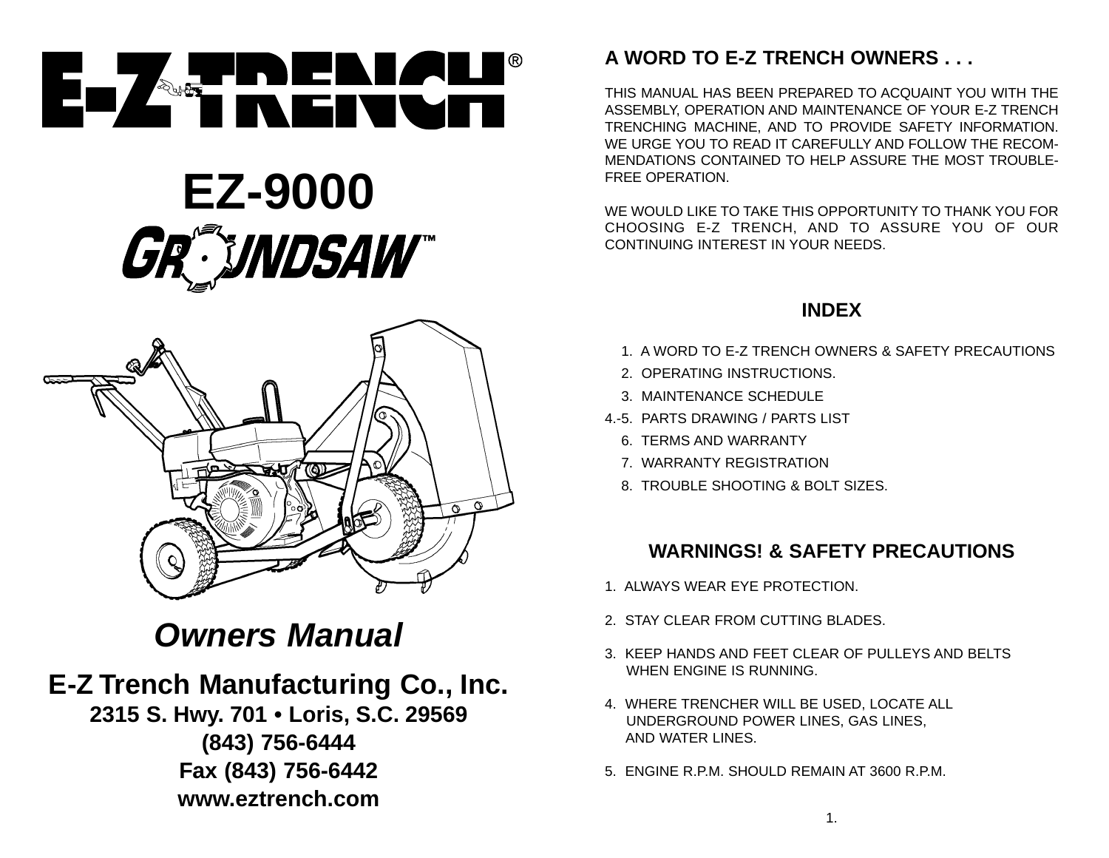

# **EZ-9000** GR®NDSAW®



# **Owners Manual**

# **E-Z Trench Manufacturing Co., Inc.**

**2315 S. Hwy. 701 • Loris, S.C. 29569 (843) 756-6444 Fax (843) 756-6442 www.eztrench.com**

# **A WORD TO E-Z TRENCH OWNERS . . .**

THIS MANUAL HAS BEEN PREPARED TO ACQUAINT YOU WITH THEASSEMBLY, OPERATION AND MAINTENANCE OF YOUR E-Z TRENCH TRENCHING MACHINE, AND TO PROVIDE SAFETY INFORMATION. WE URGE YOU TO READ IT CAREFULLY AND FOLLOW THE RECOM-MENDATIONS CONTAINED TO HELP ASSURE THE MOST TROUBLE-FREE OPERATION.

WE WOULD LIKE TO TAKE THIS OPPORTUNITY TO THANK YOU FORCHOOSING E-Z TRENCH, AND TO ASSURE YOU OF OUR CONTINUING INTEREST IN YOUR NEEDS.

# **INDEX**

- 4.-1. A WORD TO E-Z TRENCH OWNERS & SAFETY PRECAUTIONS
- 2. OPERATING INSTRUCTIONS.
- 3. MAINTENANCE SCHEDULE
- 4.-5. PARTS DRAWING / PARTS LIST
	- 6. TERMS AND WARRANTY
	- 7. WARRANTY REGISTRATION
	- 8. TROUBLE SHOOTING & BOLT SIZES.

## **WARNINGS! & SAFETY PRECAUTIONS**

- 1. ALWAYS WEAR EYE PROTECTION.
- 2. STAY CLEAR FROM CUTTING BLADES.
- 3. KEEP HANDS AND FEET CLEAR OF PULLEYS AND BELTSWHEN ENGINE IS RUNNING.
- 4. WHERE TRENCHER WILL BE USED, LOCATE ALL UNDERGROUND POWER LINES, GAS LINES, AND WATER LINES.
- 5. ENGINE R.P.M. SHOULD REMAIN AT 3600 R.P.M.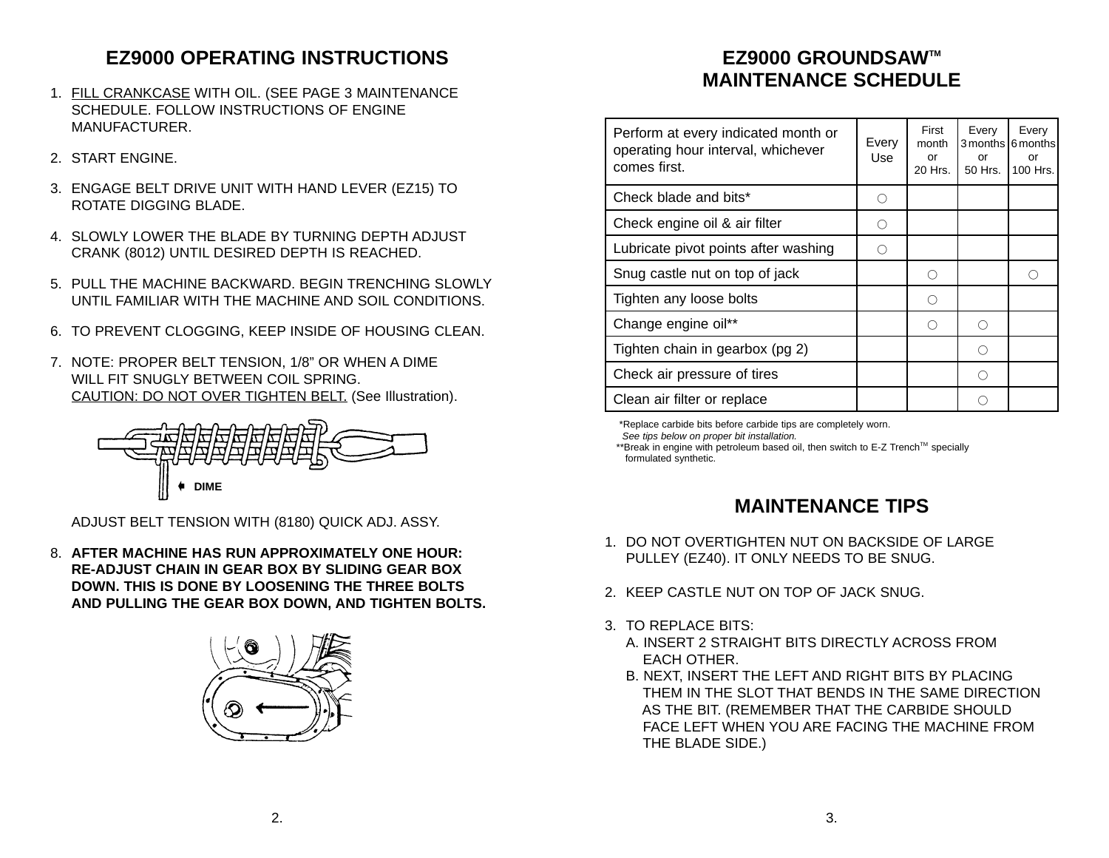# **EZ9000 OPERATING INSTRUCTIONS**

- 1. FILL CRANKCASE WITH OIL. (SEE PAGE 3 MAINTENANCE SCHEDULE. FOLLOW INSTRUCTIONS OF ENGINEMANUFACTURER.
- 2. START ENGINE.
- 3. ENGAGE BELT DRIVE UNIT WITH HAND LEVER (EZ15) TO ROTATE DIGGING BLADE.
- 4. SLOWLY LOWER THE BLADE BY TURNING DEPTH ADJUSTCRANK (8012) UNTIL DESIRED DEPTH IS REACHED.
- 5. PULL THE MACHINE BACKWARD. BEGIN TRENCHING SLOWLYUNTIL FAMILIAR WITH THE MACHINE AND SOIL CONDITIONS.
- 6. TO PREVENT CLOGGING, KEEP INSIDE OF HOUSING CLEAN.
- 7. NOTE: PROPER BELT TENSION, 1/8" OR WHEN A DIME WILL FIT SNUGLY BETWEEN COIL SPRING. CAUTION: DO NOT OVER TIGHTEN BELT. (See Illustration).



ADJUST BELT TENSION WITH (8180) QUICK ADJ. ASSY.

8. **AFTER MACHINE HAS RUN APPROXIMATELY ONE HOUR:RE-ADJUST CHAIN IN GEAR BOX BY SLIDING GEAR BOX DOWN. THIS IS DONE BY LOOSENING THE THREE BOLTSAND PULLING THE GEAR BOX DOWN, AND TIGHTEN BOLTS.**



# **EZ9000 GROUNDSAWTM MAINTENANCE SCHEDULE**

| Perform at every indicated month or<br>operating hour interval, whichever<br>comes first. | Every<br>Use | First<br>month<br>or<br>20 Hrs. | Every<br>or<br>50 Hrs. | Every<br>3 months 6 months<br>or<br>100 Hrs. |
|-------------------------------------------------------------------------------------------|--------------|---------------------------------|------------------------|----------------------------------------------|
| Check blade and bits*                                                                     |              |                                 |                        |                                              |
| Check engine oil & air filter                                                             | ∩            |                                 |                        |                                              |
| Lubricate pivot points after washing                                                      |              |                                 |                        |                                              |
| Snug castle nut on top of jack                                                            |              | ∩                               |                        | ∩                                            |
| Tighten any loose bolts                                                                   |              | ◠                               |                        |                                              |
| Change engine oil**                                                                       |              | ∩                               | ∩                      |                                              |
| Tighten chain in gearbox (pg 2)                                                           |              |                                 | ∩                      |                                              |
| Check air pressure of tires                                                               |              |                                 | ∩                      |                                              |
| Clean air filter or replace                                                               |              |                                 |                        |                                              |

\*Replace carbide bits before carbide tips are completely worn.

See tips below on proper bit installation.

\*\*Break in engine with petroleum based oil, then switch to E-Z Trench™ specially formulated synthetic.

## **MAINTENANCE TIPS**

- 1. DO NOT OVERTIGHTEN NUT ON BACKSIDE OF LARGEPULLEY (EZ40). IT ONLY NEEDS TO BE SNUG.
- 2. KEEP CASTLE NUT ON TOP OF JACK SNUG.
- 3. TO REPLACE BITS:
	- A. INSERT 2 STRAIGHT BITS DIRECTLY ACROSS FROMEACH OTHER.
	- B. NEXT, INSERT THE LEFT AND RIGHT BITS BY PLACING THEM IN THE SLOT THAT BENDS IN THE SAME DIRECTIONAS THE BIT. (REMEMBER THAT THE CARBIDE SHOULD FACE LEFT WHEN YOU ARE FACING THE MACHINE FROMTHE BLADE SIDE.)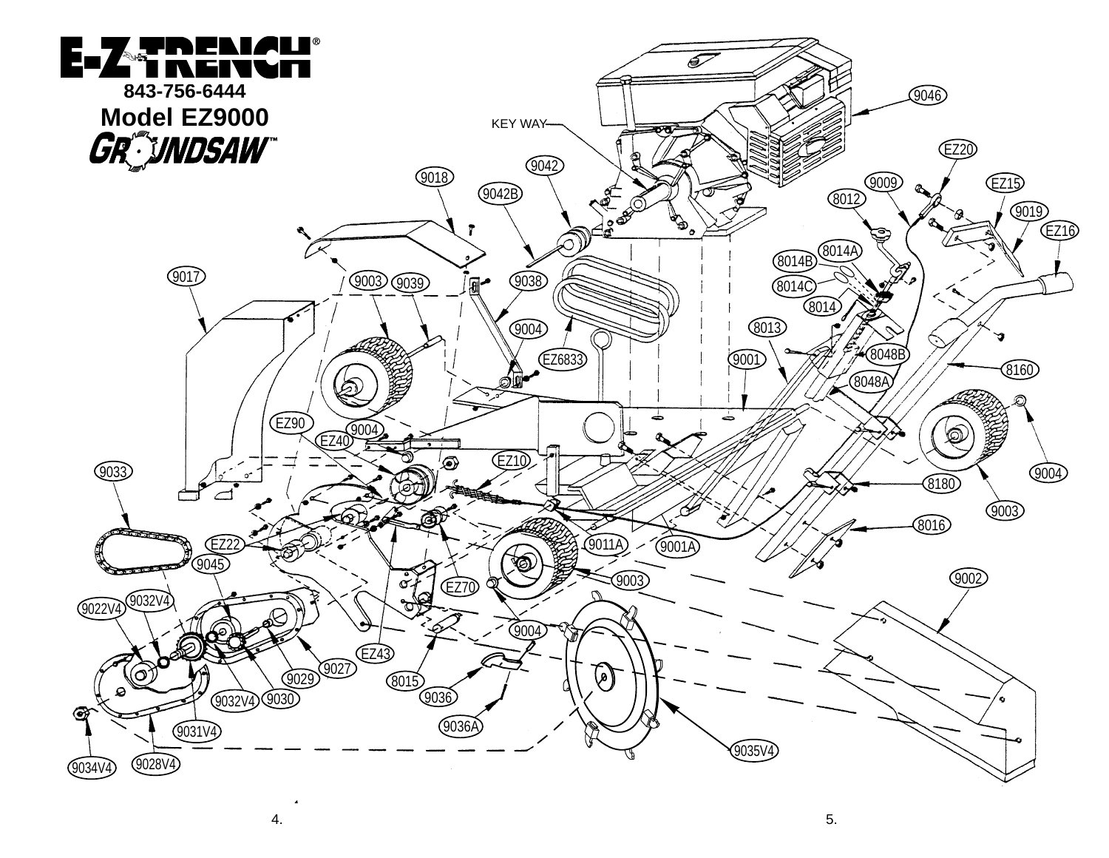

4.

. Since the contract of the contract of the contract of the contract of the contract of  $5$ .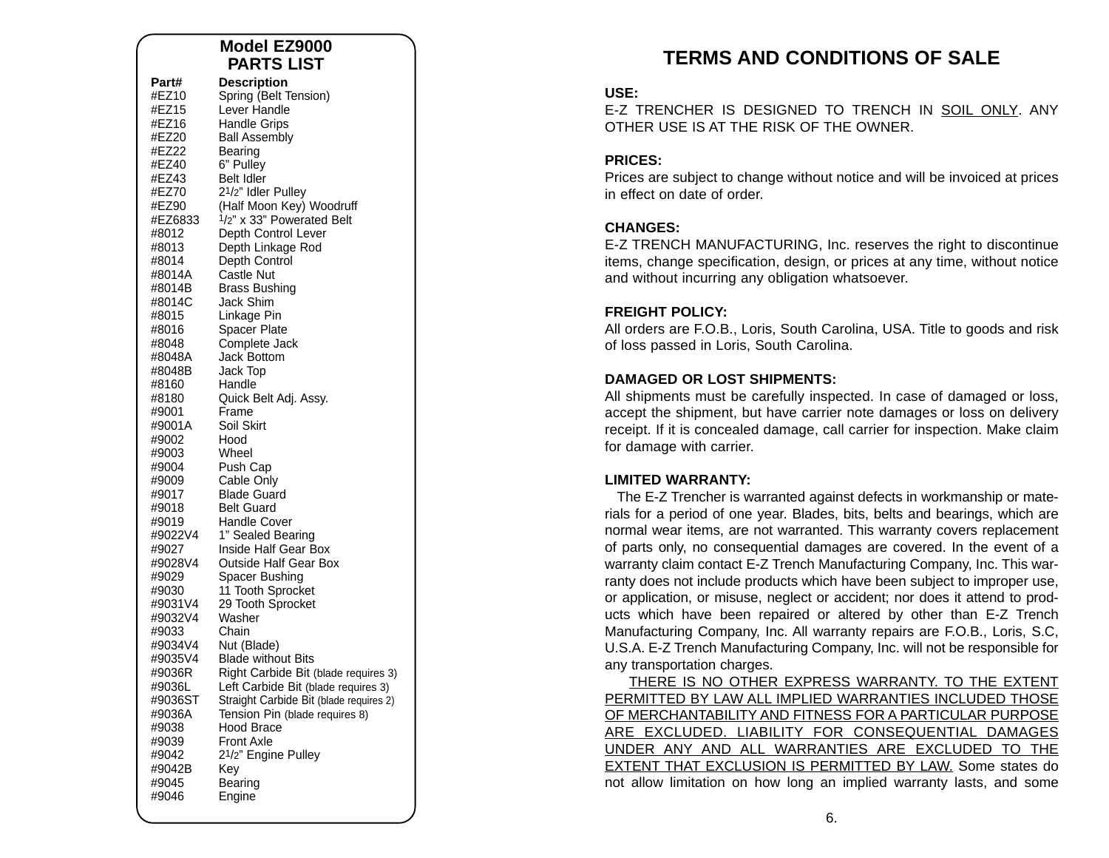#### **Model EZ9000PARTS LIST**

| Part#<br>#EZ10<br>#EZ15<br>#EZ16<br>#EZ20<br>#EZ22<br>#EZ40<br>#EZ43<br>#EZ70<br>#EZ90<br>#EZ6833<br>#8012<br>#8013<br>#8014<br>#8014A<br>#8014B<br>#8014C<br>#8015<br>#8016<br>#8048<br>#8048A<br>#8048B<br>#8160<br>#8180<br>#9001<br>#9001A<br>#9002<br>#9003<br>#9004<br>#9009<br>#9017<br>#9018<br>#9019<br>#9022V4<br>#9027<br>#9028V4<br>#9029<br>#9030<br>#9031V4<br>#9032V4<br>#9033<br>#9034V4<br>#9035V4<br>#9036R<br>#9036L<br>#9036ST<br>#9036A<br>#9038<br>#9039<br>#9042 | <b>Description</b><br>Spring (Belt Tension)<br>Lever Handle<br><b>Handle Grips</b><br><b>Ball Assembly</b><br>Bearing<br>6" Pulley<br><b>Belt Idler</b><br>21/2" Idler Pulley<br>(Half Moon Key) Woodruff<br>1/2" x 33" Powerated Belt<br>Depth Control Lever<br>Depth Linkage Rod<br>Depth Control<br>Castle Nut<br>Brass Bushing<br>Jack Shim<br>Linkage Pin<br>Spacer Plate<br>Complete Jack<br>Jack Bottom<br>Jack Top<br>Handle<br>Quick Belt Adj. Assy.<br>Frame<br>Soil Skirt<br>Hood<br>Wheel<br>Push Cap<br>Cable Only<br><b>Blade Guard</b><br><b>Belt Guard</b><br><b>Handle Cover</b><br>1" Sealed Bearing<br>Inside Half Gear Box<br><b>Outside Half Gear Box</b><br>Spacer Bushing<br>11 Tooth Sprocket<br>29 Tooth Sprocket<br>Washer<br>Chain<br>Nut (Blade)<br><b>Blade without Bits</b><br>Right Carbide Bit (blade requires 3)<br>Left Carbide Bit (blade requires 3)<br>Straight Carbide Bit (blade requires 2)<br>Tension Pin (blade requires 8)<br><b>Hood Brace</b><br><b>Front Axle</b><br>21/2" Engine Pulley |
|-----------------------------------------------------------------------------------------------------------------------------------------------------------------------------------------------------------------------------------------------------------------------------------------------------------------------------------------------------------------------------------------------------------------------------------------------------------------------------------------|----------------------------------------------------------------------------------------------------------------------------------------------------------------------------------------------------------------------------------------------------------------------------------------------------------------------------------------------------------------------------------------------------------------------------------------------------------------------------------------------------------------------------------------------------------------------------------------------------------------------------------------------------------------------------------------------------------------------------------------------------------------------------------------------------------------------------------------------------------------------------------------------------------------------------------------------------------------------------------------------------------------------------------------|
| #9042B<br>#9045<br>#9046                                                                                                                                                                                                                                                                                                                                                                                                                                                                | Kev<br>Bearing<br>Engine                                                                                                                                                                                                                                                                                                                                                                                                                                                                                                                                                                                                                                                                                                                                                                                                                                                                                                                                                                                                               |

# **TERMS AND CONDITIONS OF SALE**

#### **USE:**

E-Z TRENCHER IS DESIGNED TO TRENCH IN SOIL ONLY. ANYOTHER USE IS AT THE RISK OF THE OWNER.

#### **PRICES:**

Prices are subject to change without notice and will be invoiced at prices in effect on date of order.

#### **CHANGES:**

E-Z TRENCH MANUFACTURING, Inc. reserves the right to discontinue items, change specification, design, or prices at any time, without notice and without incurring any obligation whatsoever.

#### **FREIGHT POLICY:**

All orders are F.O.B., Loris, South Carolina, USA. Title to goods and risk of loss passed in Loris, South Carolina.

#### **DAMAGED OR LOST SHIPMENTS:**

All shipments must be carefully inspected. In case of damaged or loss, accept the shipment, but have carrier note damages or loss on delivery receipt. If it is concealed damage, call carrier for inspection. Make claim for damage with carrier.

#### **LIMITED WARRANTY:**

The E-Z Trencher is warranted against defects in workmanship or materials for a period of one year. Blades, bits, belts and bearings, which are normal wear items, are not warranted. This warranty covers replacement of parts only, no consequential damages are covered. In the event of a warranty claim contact E-Z Trench Manufacturing Company, Inc. This warranty does not include products which have been subject to improper use, or application, or misuse, neglect or accident; nor does it attend to products which have been repaired or altered by other than E-Z Trench Manufacturing Company, Inc. All warranty repairs are F.O.B., Loris, S.C, U.S.A. E-Z Trench Manufacturing Company, Inc. will not be responsible for any transportation charges.

THERE IS NO OTHER EXPRESS WARRANTY. TO THE EXTENT PERMITTED BY LAW ALL IMPLIED WARRANTIES INCLUDED THOSE OF MERCHANTABILITY AND FITNESS FOR A PARTICULAR PURPOSE ARE EXCLUDED. LIABILITY FOR CONSEQUENTIAL DAMAGES UNDER ANY AND ALL WARRANTIES ARE EXCLUDED TO THE EXTENT THAT EXCLUSION IS PERMITTED BY LAW. Some states do not allow limitation on how long an implied warranty lasts, and some